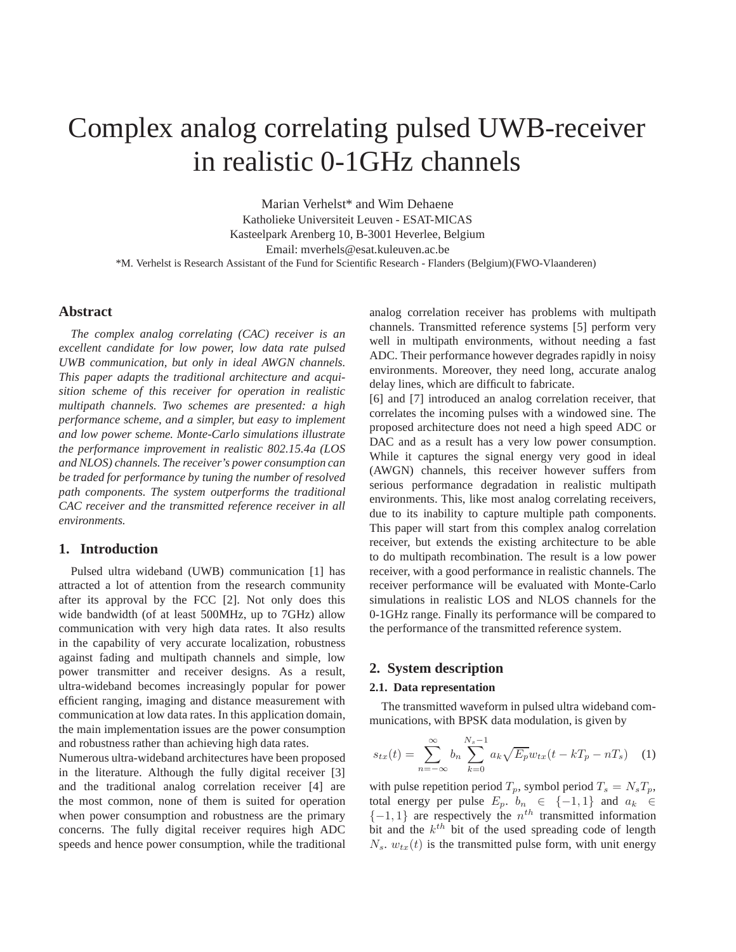# Complex analog correlating pulsed UWB-receiver in realistic 0-1GHz channels

Marian Verhelst\* and Wim Dehaene Katholieke Universiteit Leuven - ESAT-MICAS Kasteelpark Arenberg 10, B-3001 Heverlee, Belgium Email: mverhels@esat.kuleuven.ac.be \*M. Verhelst is Research Assistant of the Fund for Scientific Research - Flanders (Belgium)(FWO-Vlaanderen)

## **Abstract**

*The complex analog correlating (CAC) receiver is an excellent candidate for low power, low data rate pulsed UWB communication, but only in ideal AWGN channels. This paper adapts the traditional architecture and acquisition scheme of this receiver for operation in realistic multipath channels. Two schemes are presented: a high performance scheme, and a simpler, but easy to implement and low power scheme. Monte-Carlo simulations illustrate the performance improvement in realistic 802.15.4a (LOS and NLOS) channels. The receiver's power consumption can be traded for performance by tuning the number of resolved path components. The system outperforms the traditional CAC receiver and the transmitted reference receiver in all environments.*

## **1. Introduction**

Pulsed ultra wideband (UWB) communication [1] has attracted a lot of attention from the research community after its approval by the FCC [2]. Not only does this wide bandwidth (of at least 500MHz, up to 7GHz) allow communication with very high data rates. It also results in the capability of very accurate localization, robustness against fading and multipath channels and simple, low power transmitter and receiver designs. As a result, ultra-wideband becomes increasingly popular for power efficient ranging, imaging and distance measurement with communication at low data rates. In this application domain, the main implementation issues are the power consumption and robustness rather than achieving high data rates.

Numerous ultra-wideband architectures have been proposed in the literature. Although the fully digital receiver [3] and the traditional analog correlation receiver [4] are the most common, none of them is suited for operation when power consumption and robustness are the primary concerns. The fully digital receiver requires high ADC speeds and hence power consumption, while the traditional analog correlation receiver has problems with multipath channels. Transmitted reference systems [5] perform very well in multipath environments, without needing a fast ADC. Their performance however degrades rapidly in noisy environments. Moreover, they need long, accurate analog delay lines, which are difficult to fabricate.

[6] and [7] introduced an analog correlation receiver, that correlates the incoming pulses with a windowed sine. The proposed architecture does not need a high speed ADC or DAC and as a result has a very low power consumption. While it captures the signal energy very good in ideal (AWGN) channels, this receiver however suffers from serious performance degradation in realistic multipath environments. This, like most analog correlating receivers, due to its inability to capture multiple path components. This paper will start from this complex analog correlation receiver, but extends the existing architecture to be able to do multipath recombination. The result is a low power receiver, with a good performance in realistic channels. The receiver performance will be evaluated with Monte-Carlo simulations in realistic LOS and NLOS channels for the 0-1GHz range. Finally its performance will be compared to the performance of the transmitted reference system.

## **2. System description**

## **2.1. Data representation**

The transmitted waveform in pulsed ultra wideband communications, with BPSK data modulation, is given by

$$
s_{tx}(t) = \sum_{n = -\infty}^{\infty} b_n \sum_{k=0}^{N_s - 1} a_k \sqrt{E_p} w_{tx}(t - kT_p - nT_s)
$$
 (1)

with pulse repetition period  $T_p$ , symbol period  $T_s = N_s T_p$ , total energy per pulse  $E_p$ ,  $b_n \in \{-1, 1\}$  and  $a_k \in$  $\{-1, 1\}$  are respectively the  $n^{th}$  transmitted information bit and the  $k^{th}$  bit of the used spreading code of length  $N_s$ .  $w_{tx}(t)$  is the transmitted pulse form, with unit energy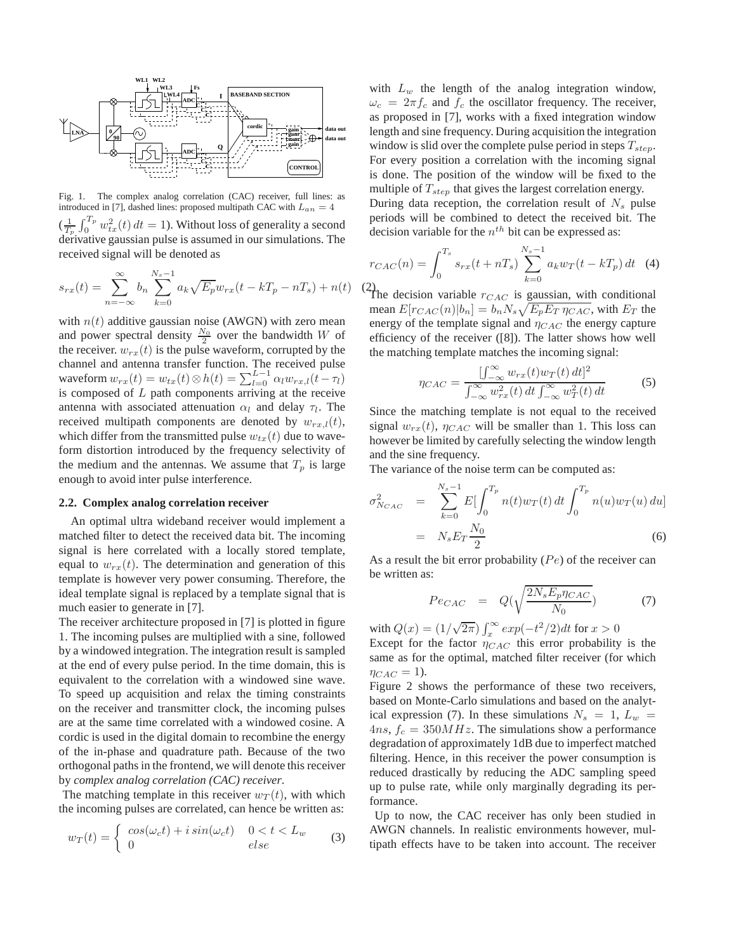

Fig. 1. The complex analog correlation (CAC) receiver, full lines: as introduced in [7], dashed lines: proposed multipath CAC with  $L_{an} = 4$  $(\frac{1}{T_p}\int_0^{T_p} w_{tx}^2(t) dt = 1)$ . Without loss of generality a second  $\det_{p}^{p}$  derivative gaussian pulse is assumed in our simulations. The received signal will be denoted as

$$
s_{rx}(t) = \sum_{n = -\infty}^{\infty} b_n \sum_{k=0}^{N_s - 1} a_k \sqrt{E_p} w_{rx}(t - kT_p - nT_s) + n(t) \tag{2}
$$

with  $n(t)$  additive gaussian noise (AWGN) with zero mean and power spectral density  $\frac{N_0}{2}$  over the bandwidth W of the receiver.  $w_{rx}(t)$  is the pulse waveform, corrupted by the channel and antenna transfer function. The received pulse waveform  $w_{rx}(t) = w_{tx}(t) \otimes h(t) = \sum_{l=0}^{L-1} \alpha_l w_{rx,l}(t-\tau_l)$ is composed of  $L$  path components arriving at the receive antenna with associated attenuation  $\alpha_l$  and delay  $\tau_l$ . The received multipath components are denoted by  $w_{rx,l}(t)$ , which differ from the transmitted pulse  $w_{tx}(t)$  due to waveform distortion introduced by the frequency selectivity of the medium and the antennas. We assume that  $T_p$  is large enough to avoid inter pulse interference.

## **2.2. Complex analog correlation receiver**

An optimal ultra wideband receiver would implement a matched filter to detect the received data bit. The incoming signal is here correlated with a locally stored template, equal to  $w_{rx}(t)$ . The determination and generation of this template is however very power consuming. Therefore, the ideal template signal is replaced by a template signal that is much easier to generate in [7].

The receiver architecture proposed in [7] is plotted in figure 1. The incoming pulses are multiplied with a sine, followed by a windowed integration. The integration result is sampled at the end of every pulse period. In the time domain, this is equivalent to the correlation with a windowed sine wave. To speed up acquisition and relax the timing constraints on the receiver and transmitter clock, the incoming pulses are at the same time correlated with a windowed cosine. A cordic is used in the digital domain to recombine the energy of the in-phase and quadrature path. Because of the two orthogonal paths in the frontend, we will denote this receiver by *complex analog correlation (CAC) receiver*.

The matching template in this receiver  $w_T(t)$ , with which the incoming pulses are correlated, can hence be written as:

$$
w_T(t) = \begin{cases} \cos(\omega_c t) + i \sin(\omega_c t) & 0 < t < L_w \\ 0 & \text{else} \end{cases} \tag{3}
$$

with  $L_w$  the length of the analog integration window,  $\omega_c = 2\pi f_c$  and  $f_c$  the oscillator frequency. The receiver, as proposed in [7], works with a fixed integration window length and sine frequency. During acquisition the integration window is slid over the complete pulse period in steps  $T_{step}$ . For every position a correlation with the incoming signal is done. The position of the window will be fixed to the multiple of  $T_{step}$  that gives the largest correlation energy.

During data reception, the correlation result of  $N_s$  pulse periods will be combined to detect the received bit. The decision variable for the  $n^{th}$  bit can be expressed as:

$$
r_{CAC}(n) = \int_0^{T_s} s_{rx}(t + nT_s) \sum_{k=0}^{N_s - 1} a_k w_T(t - kT_p) dt
$$
 (4)

The decision variable  $r_{CAC}$  is gaussian, with conditional mean  $E[r_{CAC}(n)|b_n] = b_n N_s \sqrt{E_p E_T \eta_{CAC}}$ , with  $E_T$  the energy of the template signal and  $\eta_{CAC}$  the energy capture efficiency of the receiver ([8]). The latter shows how well the matching template matches the incoming signal:

$$
\eta_{CAC} = \frac{\int_{-\infty}^{\infty} w_{rx}(t) w_T(t) dt]^2}{\int_{-\infty}^{\infty} w_{rx}^2(t) dt \int_{-\infty}^{\infty} w_T^2(t) dt}
$$
(5)

Since the matching template is not equal to the received signal  $w_{rx}(t)$ ,  $\eta_{CAC}$  will be smaller than 1. This loss can however be limited by carefully selecting the window length and the sine frequency.

The variance of the noise term can be computed as:

$$
\sigma_{N_{CAC}}^2 = \sum_{k=0}^{N_s - 1} E \left[ \int_0^{T_p} n(t) w_T(t) dt \int_0^{T_p} n(u) w_T(u) du \right]
$$
  
=  $N_s E_T \frac{N_0}{2}$  (6)

As a result the bit error probability  $(Pe)$  of the receiver can be written as:

$$
Pe_{CAC} = Q(\sqrt{\frac{2N_sE_p\eta_{CAC}}{N_0}})
$$
 (7)

with  $Q(x) = (1/\sqrt{2\pi}) \int_x^{\infty} exp(-t^2/2) dt$  for  $x > 0$ Except for the factor  $\eta_{CAC}$  this error probability is the same as for the optimal, matched filter receiver (for which  $\eta_{CAC} = 1$ ).

Figure 2 shows the performance of these two receivers, based on Monte-Carlo simulations and based on the analytical expression (7). In these simulations  $N_s = 1, L_w =$  $4ns$ ,  $f_c = 350MHz$ . The simulations show a performance degradation of approximately 1dB due to imperfect matched filtering. Hence, in this receiver the power consumption is reduced drastically by reducing the ADC sampling speed up to pulse rate, while only marginally degrading its performance.

Up to now, the CAC receiver has only been studied in AWGN channels. In realistic environments however, multipath effects have to be taken into account. The receiver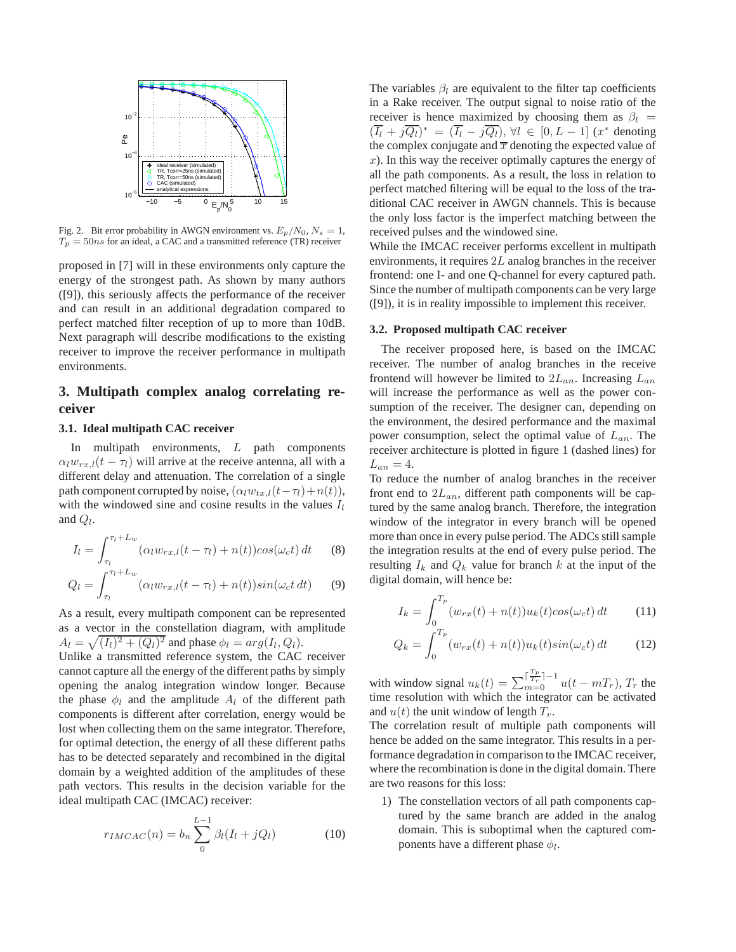

Fig. 2. Bit error probability in AWGN environment vs.  $E_p/N_0$ ,  $N_s = 1$ ,  $T_p = 50ns$  for an ideal, a CAC and a transmitted reference (TR) receiver

proposed in [7] will in these environments only capture the energy of the strongest path. As shown by many authors ([9]), this seriously affects the performance of the receiver and can result in an additional degradation compared to perfect matched filter reception of up to more than 10dB. Next paragraph will describe modifications to the existing receiver to improve the receiver performance in multipath environments.

## **3. Multipath complex analog correlating receiver**

## **3.1. Ideal multipath CAC receiver**

In multipath environments, L path components  $\alpha_l w_{rx,l}(t - \tau_l)$  will arrive at the receive antenna, all with a different delay and attenuation. The correlation of a single path component corrupted by noise,  $(\alpha_l w_{tx,l}(t-\tau_l)+n(t)),$ with the windowed sine and cosine results in the values  $I_l$ and  $Q_l$ .

$$
I_l = \int_{\tau_l}^{\tau_l + L_w} (\alpha_l w_{rx,l}(t - \tau_l) + n(t)) \cos(\omega_c t) dt \qquad (8)
$$

$$
Q_l = \int_{\tau_l}^{\tau_l + L_w} (\alpha_l w_{rx,l}(t - \tau_l) + n(t)) sin(\omega_c t \, dt) \tag{9}
$$

As a result, every multipath component can be represented as a vector in the constellation diagram, with amplitude  $A_l = \sqrt{(I_l)^2 + (Q_l)^2}$  and phase  $\phi_l = arg(I_l, Q_l)$ .

Unlike a transmitted reference system, the CAC receiver cannot capture all the energy of the different paths by simply opening the analog integration window longer. Because the phase  $\phi_l$  and the amplitude  $A_l$  of the different path components is different after correlation, energy would be lost when collecting them on the same integrator. Therefore, for optimal detection, the energy of all these different paths has to be detected separately and recombined in the digital domain by a weighted addition of the amplitudes of these path vectors. This results in the decision variable for the ideal multipath CAC (IMCAC) receiver:

$$
r_{IMCAC}(n) = b_n \sum_{0}^{L-1} \beta_l (I_l + jQ_l)
$$
 (10)

The variables  $\beta_l$  are equivalent to the filter tap coefficients in a Rake receiver. The output signal to noise ratio of the receiver is hence maximized by choosing them as  $\beta_l$  =  $(\overline{I_l} + j\overline{Q_l})^* = (\overline{I_l} - j\overline{Q_l}), \forall l \in [0, L - 1]$  (x<sup>\*</sup> denoting the complex conjugate and  $\overline{x}$  denoting the expected value of  $x$ ). In this way the receiver optimally captures the energy of all the path components. As a result, the loss in relation to perfect matched filtering will be equal to the loss of the traditional CAC receiver in AWGN channels. This is because the only loss factor is the imperfect matching between the received pulses and the windowed sine.

While the IMCAC receiver performs excellent in multipath environments, it requires 2L analog branches in the receiver frontend: one I- and one Q-channel for every captured path. Since the number of multipath components can be very large ([9]), it is in reality impossible to implement this receiver.

#### **3.2. Proposed multipath CAC receiver**

The receiver proposed here, is based on the IMCAC receiver. The number of analog branches in the receive frontend will however be limited to  $2L_{an}$ . Increasing  $L_{an}$ will increase the performance as well as the power consumption of the receiver. The designer can, depending on the environment, the desired performance and the maximal power consumption, select the optimal value of  $L_{an}$ . The receiver architecture is plotted in figure 1 (dashed lines) for  $L_{an} = 4.$ 

To reduce the number of analog branches in the receiver front end to  $2L_{an}$ , different path components will be captured by the same analog branch. Therefore, the integration window of the integrator in every branch will be opened more than once in every pulse period. The ADCs still sample the integration results at the end of every pulse period. The resulting  $I_k$  and  $Q_k$  value for branch k at the input of the digital domain, will hence be:

$$
I_k = \int_0^{T_p} (w_{rx}(t) + n(t))u_k(t)\cos(\omega_c t) dt \qquad (11)
$$

$$
Q_k = \int_0^{T_p} (w_{rx}(t) + n(t))u_k(t)\sin(\omega_c t) dt \qquad (12)
$$

with window signal  $u_k(t) = \sum_{m=0}^{\lceil \frac{T_p}{T_r} \rceil - 1} u(t - mT_r)$ ,  $T_r$  the time resolution with which the integrator can be activated and  $u(t)$  the unit window of length  $T_r$ .

The correlation result of multiple path components will hence be added on the same integrator. This results in a performance degradation in comparison to the IMCAC receiver, where the recombination is done in the digital domain. There are two reasons for this loss:

1) The constellation vectors of all path components captured by the same branch are added in the analog domain. This is suboptimal when the captured components have a different phase  $\phi_l$ .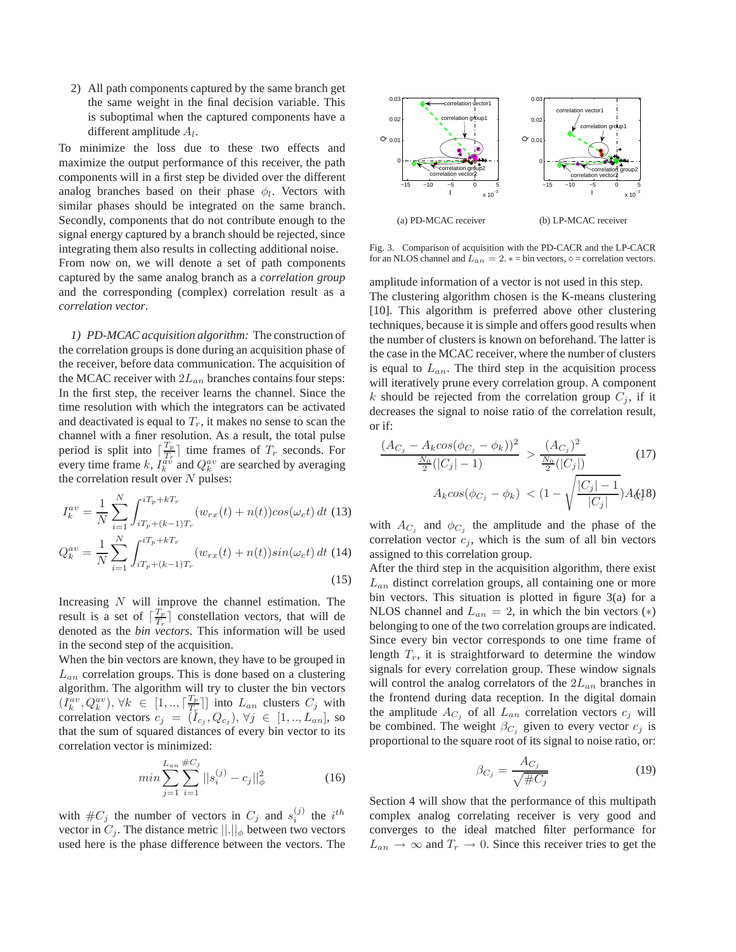2) All path components captured by the same branch get the same weight in the final decision variable. This is suboptimal when the captured components have a different amplitude  $A_l$ .

To minimize the loss due to these two effects and maximize the output performance of this receiver, the path components will in a first step be divided over the different analog branches based on their phase  $\phi_l$ . Vectors with similar phases should be integrated on the same branch. Secondly, components that do not contribute enough to the signal energy captured by a branch should be rejected, since integrating them also results in collecting additional noise.

From now on, we will denote a set of path components captured by the same analog branch as a *correlation group* and the corresponding (complex) correlation result as a *correlation vector*.

*1) PD-MCAC acquisition algorithm:* The construction of the correlation groups is done during an acquisition phase of the receiver, before data communication. The acquisition of the MCAC receiver with  $2L_{an}$  branches contains four steps: In the first step, the receiver learns the channel. Since the time resolution with which the integrators can be activated and deactivated is equal to  $T_r$ , it makes no sense to scan the channel with a finer resolution. As a result, the total pulse period is split into  $\left[\frac{T_p}{T_r}\right]$  $\frac{I_p}{T_r}$  time frames of  $T_r$  seconds. For every time frame k,  $I_k^{\hat{a}\hat{v}}$  and  $Q_k^{av}$  are searched by averaging the correlation result over  $N$  pulses:

$$
I_{k}^{av} = \frac{1}{N} \sum_{i=1}^{N} \int_{iT_{p}+(k-1)T_{r}}^{iT_{p}+kT_{r}} (w_{rx}(t) + n(t))\cos(\omega_{c}t) dt
$$
 (13)  

$$
Q_{k}^{av} = \frac{1}{N} \sum_{i=1}^{N} \int_{iT_{p}+(k-1)T_{r}}^{iT_{p}+kT_{r}} (w_{rx}(t) + n(t))\sin(\omega_{c}t) dt
$$
 (14)

Increasing  $N$  will improve the channel estimation. The result is a set of  $\lceil \frac{T_p}{T_r} \rceil$  $\frac{I_p}{T_r}$  constellation vectors, that will de denoted as the *bin vectors*. This information will be used in the second step of the acquisition.

When the bin vectors are known, they have to be grouped in  $L_{an}$  correlation groups. This is done based on a clustering algorithm. The algorithm will try to cluster the bin vectors  $(I_k^{av}, Q_k^{av}), \forall k \in [1, ..., \lceil \frac{T_p}{T_r} \rceil]$  $\frac{I_p}{T_r}$ ] into  $L_{an}$  clusters  $C_j$  with correlation vectors  $c_j = (I_{c_j}, Q_{c_j}), \forall j \in [1, ..., L_{an}],$  so that the sum of squared distances of every bin vector to its correlation vector is minimized:

$$
\min \sum_{j=1}^{L_{an}} \sum_{i=1}^{H C_j} ||s_i^{(j)} - c_j||_{\phi}^2 \tag{16}
$$

with  $\#C_j$  the number of vectors in  $C_j$  and  $s_i^{(j)}$  the  $i^{th}$ vector in  $C_j$ . The distance metric  $||.||_{\phi}$  between two vectors used here is the phase difference between the vectors. The



Fig. 3. Comparison of acquisition with the PD-CACR and the LP-CACR for an NLOS channel and  $L_{an} = 2. * = bin$  vectors,  $\diamond =$  correlation vectors.

amplitude information of a vector is not used in this step. The clustering algorithm chosen is the K-means clustering [10]. This algorithm is preferred above other clustering techniques, because it is simple and offers good results when the number of clusters is known on beforehand. The latter is the case in the MCAC receiver, where the number of clusters is equal to  $L_{an}$ . The third step in the acquisition process will iteratively prune every correlation group. A component k should be rejected from the correlation group  $C_i$ , if it decreases the signal to noise ratio of the correlation result, or if:

$$
\frac{(A_{C_j} - A_k \cos(\phi_{C_j} - \phi_k))^2}{\frac{N_0}{2}(|C_j| - 1)} > \frac{(A_{C_j})^2}{\frac{N_0}{2}(|C_j|)} \tag{17}
$$
\n
$$
A_k \cos(\phi_{C_j} - \phi_k) < (1 - \sqrt{\frac{|C_j| - 1}{|C_j|}})A_{\mathcal{S}}(1)
$$

with  $A_{C_j}$  and  $\phi_{C_j}$  the amplitude and the phase of the correlation vector  $c_j$ , which is the sum of all bin vectors assigned to this correlation group.

After the third step in the acquisition algorithm, there exist  $L_{an}$  distinct correlation groups, all containing one or more bin vectors. This situation is plotted in figure 3(a) for a NLOS channel and  $L_{an} = 2$ , in which the bin vectors (\*) belonging to one of the two correlation groups are indicated. Since every bin vector corresponds to one time frame of length  $T_r$ , it is straightforward to determine the window signals for every correlation group. These window signals will control the analog correlators of the  $2L_{an}$  branches in the frontend during data reception. In the digital domain the amplitude  $A_{C_i}$  of all  $L_{an}$  correlation vectors  $c_j$  will be combined. The weight  $\beta_{C_i}$  given to every vector  $c_j$  is proportional to the square root of its signal to noise ratio, or:

$$
\beta_{C_j} = \frac{A_{C_j}}{\sqrt{\#C_j}}\tag{19}
$$

Section 4 will show that the performance of this multipath complex analog correlating receiver is very good and converges to the ideal matched filter performance for  $L_{an} \rightarrow \infty$  and  $T_r \rightarrow 0$ . Since this receiver tries to get the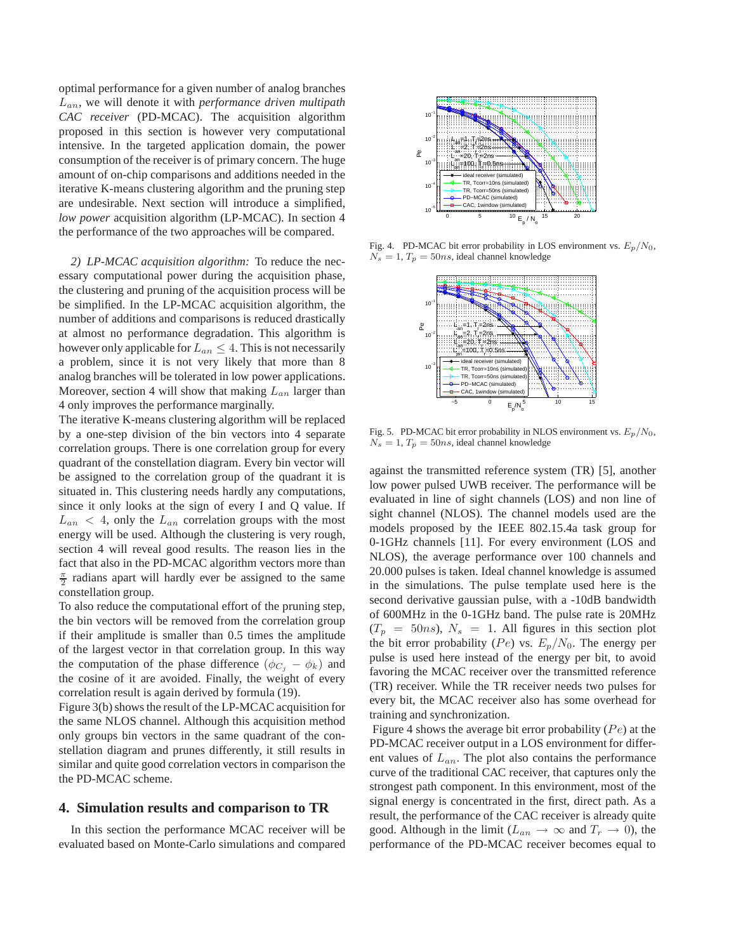optimal performance for a given number of analog branches Lan, we will denote it with *performance driven multipath CAC receiver* (PD-MCAC). The acquisition algorithm proposed in this section is however very computational intensive. In the targeted application domain, the power consumption of the receiver is of primary concern. The huge amount of on-chip comparisons and additions needed in the iterative K-means clustering algorithm and the pruning step are undesirable. Next section will introduce a simplified, *low power* acquisition algorithm (LP-MCAC). In section 4 the performance of the two approaches will be compared.

*2) LP-MCAC acquisition algorithm:* To reduce the necessary computational power during the acquisition phase, the clustering and pruning of the acquisition process will be be simplified. In the LP-MCAC acquisition algorithm, the number of additions and comparisons is reduced drastically at almost no performance degradation. This algorithm is however only applicable for  $L_{an} \leq 4$ . This is not necessarily a problem, since it is not very likely that more than 8 analog branches will be tolerated in low power applications. Moreover, section 4 will show that making  $L_{an}$  larger than 4 only improves the performance marginally.

The iterative K-means clustering algorithm will be replaced by a one-step division of the bin vectors into 4 separate correlation groups. There is one correlation group for every quadrant of the constellation diagram. Every bin vector will be assigned to the correlation group of the quadrant it is situated in. This clustering needs hardly any computations, since it only looks at the sign of every I and Q value. If  $L_{an}$  < 4, only the  $L_{an}$  correlation groups with the most energy will be used. Although the clustering is very rough, section 4 will reveal good results. The reason lies in the fact that also in the PD-MCAC algorithm vectors more than  $\frac{\pi}{2}$  radians apart will hardly ever be assigned to the same constellation group.

To also reduce the computational effort of the pruning step, the bin vectors will be removed from the correlation group if their amplitude is smaller than 0.5 times the amplitude of the largest vector in that correlation group. In this way the computation of the phase difference  $(\phi_{C_i} - \phi_k)$  and the cosine of it are avoided. Finally, the weight of every correlation result is again derived by formula (19).

Figure 3(b) shows the result of the LP-MCAC acquisition for the same NLOS channel. Although this acquisition method only groups bin vectors in the same quadrant of the constellation diagram and prunes differently, it still results in similar and quite good correlation vectors in comparison the the PD-MCAC scheme.

## **4. Simulation results and comparison to TR**

In this section the performance MCAC receiver will be evaluated based on Monte-Carlo simulations and compared



Fig. 4. PD-MCAC bit error probability in LOS environment vs.  $E_p/N_0$ ,  $N_s = 1, T_p = 50ns$ , ideal channel knowledge



Fig. 5. PD-MCAC bit error probability in NLOS environment vs.  $E_p/N_0$ ,  $N_s = 1, T_p = 50ns$ , ideal channel knowledge

against the transmitted reference system (TR) [5], another low power pulsed UWB receiver. The performance will be evaluated in line of sight channels (LOS) and non line of sight channel (NLOS). The channel models used are the models proposed by the IEEE 802.15.4a task group for 0-1GHz channels [11]. For every environment (LOS and NLOS), the average performance over 100 channels and 20.000 pulses is taken. Ideal channel knowledge is assumed in the simulations. The pulse template used here is the second derivative gaussian pulse, with a -10dB bandwidth of 600MHz in the 0-1GHz band. The pulse rate is 20MHz  $(T_p = 50ns)$ ,  $N_s = 1$ . All figures in this section plot the bit error probability (Pe) vs.  $E_p/N_0$ . The energy per pulse is used here instead of the energy per bit, to avoid favoring the MCAC receiver over the transmitted reference (TR) receiver. While the TR receiver needs two pulses for every bit, the MCAC receiver also has some overhead for training and synchronization.

Figure 4 shows the average bit error probability  $(Pe)$  at the PD-MCAC receiver output in a LOS environment for different values of  $L_{an}$ . The plot also contains the performance curve of the traditional CAC receiver, that captures only the strongest path component. In this environment, most of the signal energy is concentrated in the first, direct path. As a result, the performance of the CAC receiver is already quite good. Although in the limit ( $L_{an} \rightarrow \infty$  and  $T_r \rightarrow 0$ ), the performance of the PD-MCAC receiver becomes equal to